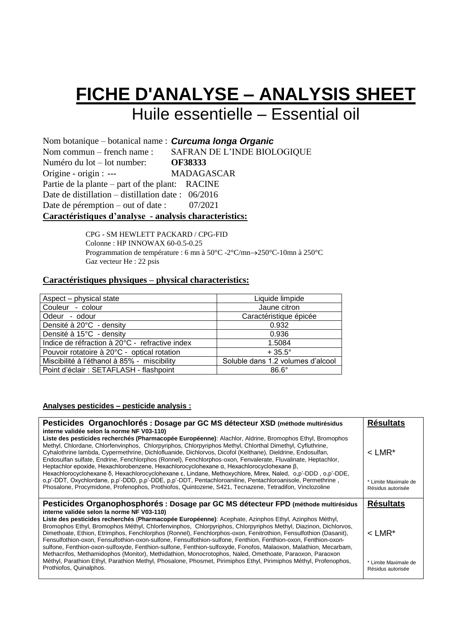# **FICHE D'ANALYSE – ANALYSIS SHEET** Huile essentielle – Essential oil

Nom botanique – botanical name : *Curcuma longa Organic* Nom commun – french name : Numéro du lot – lot number: Origine - origin : --- SAFRAN DE L'INDE BIOLOGIQUE **OF38333**  MADAGASCAR Partie de la plante – part of the plant: RACINE Date de distillation – distillation date : 06/2016 Date de péremption – out of date : 07/2021 **Caractéristiques d'analyse - analysis characteristics:**

> CPG - SM HEWLETT PACKARD / CPG-FID Colonne : HP INNOWAX 60-0.5-0.25 Programmation de température : 6 mn à 50°C -2°C/mn→250°C-10mn à 250°C Gaz vecteur He : 22 psis

### **Caractéristiques physiques – physical characteristics:**

| Aspect - physical state                        | Liquide limpide                   |
|------------------------------------------------|-----------------------------------|
| Couleur - colour                               | Jaune citron                      |
| Odeur - odour                                  | Caractéristique épicée            |
| Densité à 20°C - density                       | 0.932                             |
| Densité à 15°C - density                       | 0.936                             |
| Indice de réfraction à 20°C - refractive index | 1.5084                            |
| Pouvoir rotatoire à 20°C - optical rotation    | $+35.5^{\circ}$                   |
| Miscibilité à l'éthanol à 85% - miscibility    | Soluble dans 1.2 volumes d'alcool |
| Point d'éclair : SETAFLASH - flashpoint        | $86.6^\circ$                      |

#### **Analyses pesticides – pesticide analysis :**

| Pesticides Organochlorés : Dosage par GC MS détecteur XSD (méthode multirésidus<br>interne validée selon la norme NF V03-110)                                                                                                                                                                                                                                                                                                                                                                                                                                                                                                                                                                                                                                                                                                                                                                          | <b>Résultats</b>                                                  |
|--------------------------------------------------------------------------------------------------------------------------------------------------------------------------------------------------------------------------------------------------------------------------------------------------------------------------------------------------------------------------------------------------------------------------------------------------------------------------------------------------------------------------------------------------------------------------------------------------------------------------------------------------------------------------------------------------------------------------------------------------------------------------------------------------------------------------------------------------------------------------------------------------------|-------------------------------------------------------------------|
| Liste des pesticides recherchés (Pharmacopée Européenne): Alachlor, Aldrine, Bromophos Ethyl, Bromophos<br>Methyl, Chlordane, Chlorfenvinphos, Chlorpyriphos, Chlorpyriphos Methyl, Chlorthal Dimethyl, Cyfluthrine,<br>Cyhalothrine lambda, Cypermethrine, Dichlofluanide, Dichlorvos, Dicofol (Kelthane), Dieldrine, Endosulfan,<br>Endosulfan sulfate, Endrine, Fenchlorphos (Ronnel), Fenchlorphos-oxon, Fenvalerate, Fluvalinate, Heptachlor,<br>Heptachlor epoxide, Hexachlorobenzene, Hexachlorocyclohexane $\alpha$ , Hexachlorocyclohexane $\beta$ ,<br>Hexachlorocyclohexane δ, Hexachlorocyclohexane ε, Lindane, Methoxychlore, Mirex, Naled, ο, p'-DDD, ο, p'-DDE,<br>o,p'-DDT, Oxychlordane, p,p'-DDD, p,p'-DDE, p,p'-DDT, Pentachloroaniline, Pentachloroanisole, Permethrine,<br>Phosalone, Procymidone, Profenophos, Prothiofos, Quintozene, S421, Tecnazene, Tetradifon, Vinclozoline | $<$ LMR <sup>*</sup><br>* Limite Maximale de<br>Résidus autorisée |
| Pesticides Organophosphorés : Dosage par GC MS détecteur FPD (méthode multirésidus                                                                                                                                                                                                                                                                                                                                                                                                                                                                                                                                                                                                                                                                                                                                                                                                                     | <b>Résultats</b>                                                  |
| interne validée selon la norme NF V03-110)<br>Liste des pesticides recherchés (Pharmacopée Européenne): Acephate, Azinphos Ethyl, Azinphos Méthyl,<br>Bromophos Ethyl, Bromophos Méthyl, Chlorfenvinphos, Chlorpyriphos, Chlorpyriphos Methyl, Diazinon, Dichlorvos,<br>Dimethoate, Ethion, Etrimphos, Fenchlorphos (Ronnel), Fenchlorphos-oxon, Fenitrothion, Fensulfothion (Dasanit),<br>Fensulfothion-oxon, Fensulfothion-oxon-sulfone, Fensulfothion-sulfone, Fenthion, Fenthion-oxon, Fenthion-oxon-<br>sulfone, Fenthion-oxon-sulfoxyde, Fenthion-sulfone, Fenthion-sulfoxyde, Fonofos, Malaoxon, Malathion, Mecarbam,<br>Methacrifos, Methamidophos (Monitor), Methidathion, Monocrotophos, Naled, Omethoate, Paraoxon, Paraoxon                                                                                                                                                                | $<$ I MR*                                                         |
| Méthyl, Parathion Ethyl, Parathion Methyl, Phosalone, Phosmet, Pirimiphos Ethyl, Pirimiphos Méthyl, Profenophos,<br>Prothiofos, Quinalphos.                                                                                                                                                                                                                                                                                                                                                                                                                                                                                                                                                                                                                                                                                                                                                            | * Limite Maximale de<br>Résidus autorisée                         |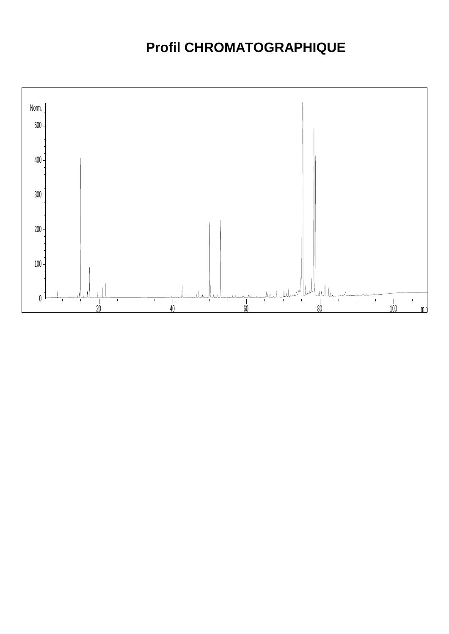## **Profil CHROMATOGRAPHIQUE**

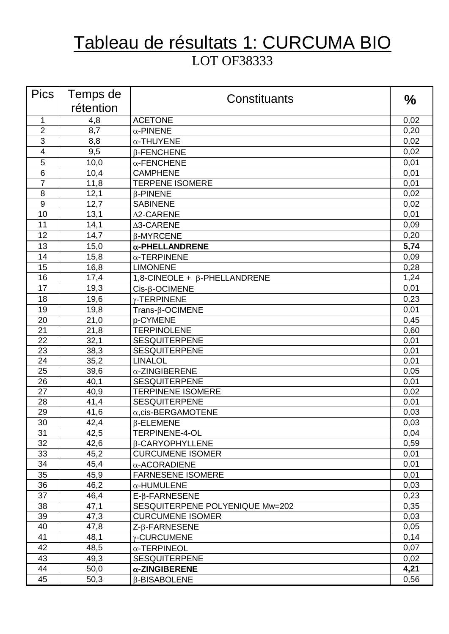## Tableau de résultats 1: CURCUMA BIO LOT OF38333

| <b>Pics</b>     | Temps de  | Constituants                        | $\frac{0}{0}$ |
|-----------------|-----------|-------------------------------------|---------------|
|                 | rétention |                                     |               |
| $\mathbf{1}$    | 4,8       | <b>ACETONE</b>                      | 0,02          |
| $\overline{2}$  | 8,7       | $\alpha$ -PINENE                    | 0,20          |
| 3               | 8,8       | $\alpha$ -THUYENE                   | 0,02          |
| $\overline{4}$  | 9,5       | $\beta$ -FENCHENE                   | 0,02          |
| 5               | 10,0      | $\alpha$ -FENCHENE                  | 0,01          |
| $6\phantom{1}6$ | 10,4      | <b>CAMPHENE</b>                     | 0,01          |
| $\overline{7}$  | 11,8      | <b>TERPENE ISOMERE</b>              | 0,01          |
| 8               | 12,1      | $\beta$ -PINENE                     | 0,02          |
| 9               | 12,7      | <b>SABINENE</b>                     | 0,02          |
| 10              | 13,1      | Δ2-CARENE                           | 0,01          |
| 11              | 14,1      | ∆3-CARENE                           | 0,09          |
| 12              | 14,7      | β-MYRCENE                           | 0,20          |
| 13              | 15,0      | $\alpha$ -PHELLANDRENE              | 5,74          |
| 14              | 15,8      | $\alpha$ -TERPINENE                 | 0,09          |
| 15              | 16,8      | <b>LIMONENE</b>                     | 0,28          |
| 16              | 17,4      | 1,8-CINEOLE + $\beta$ -PHELLANDRENE | 1,24          |
| 17              | 19,3      | $Cis-\beta$ -OCIMENE                | 0,01          |
| 18              | 19,6      | $\gamma$ -TERPINENE                 | 0,23          |
| 19              | 19,8      | $Trans-\beta-OCIMENE$               | 0,01          |
| 20              | 21,0      | p-CYMENE                            | 0,45          |
| 21              | 21,8      | <b>TERPINOLENE</b>                  | 0,60          |
| 22              | 32,1      | <b>SESQUITERPENE</b>                | 0,01          |
| 23              | 38,3      | <b>SESQUITERPENE</b>                | 0,01          |
| 24              | 35,2      | <b>LINALOL</b>                      | 0,01          |
| 25              | 39,6      | $\alpha$ -ZINGIBERENE               | 0,05          |
| 26              | 40,1      | <b>SESQUITERPENE</b>                | 0,01          |
| 27              | 40,9      | <b>TERPINENE ISOMERE</b>            | 0,02          |
| 28              | 41,4      | <b>SESQUITERPENE</b>                | 0,01          |
| $\overline{29}$ | 41,6      | $\alpha$ , cis-BERGAMOTENE          | 0,03          |
| 30              | 42,4      | $\beta$ -ELEMENE                    | 0,03          |
| 31              | 42,5      | <b>TERPINENE-4-OL</b>               | 0,04          |
| 32              | 42,6      | β-CARYOPHYLLENE                     | 0,59          |
| 33              | 45,2      | <b>CURCUMENE ISOMER</b>             | 0,01          |
| 34              | 45,4      | $\alpha$ -ACORADIENE                | 0,01          |
| 35              | 45,9      | <b>FARNESENE ISOMERE</b>            | 0,01          |
| 36              | 46,2      | $\alpha$ -HUMULENE                  | 0,03          |
| 37              | 46,4      | E-B-FARNESENE                       | 0,23          |
| 38              | 47,1      | SESQUITERPENE POLYENIQUE Mw=202     | 0,35          |
| 39              | 47,3      | <b>CURCUMENE ISOMER</b>             | 0,03          |
| 40              | 47,8      | $Z$ - $\beta$ -FARNESENE            | 0,05          |
| 41              | 48,1      | $\gamma$ -CURCUMENE                 | 0,14          |
| 42              | 48,5      | $\alpha$ -TERPINEOL                 | 0,07          |
| 43              | 49,3      | <b>SESQUITERPENE</b>                | 0,02          |
| 44              | 50,0      | $\alpha$ -ZINGIBERENE               | 4,21          |
| 45              | 50,3      | <b>B-BISABOLENE</b>                 | 0,56          |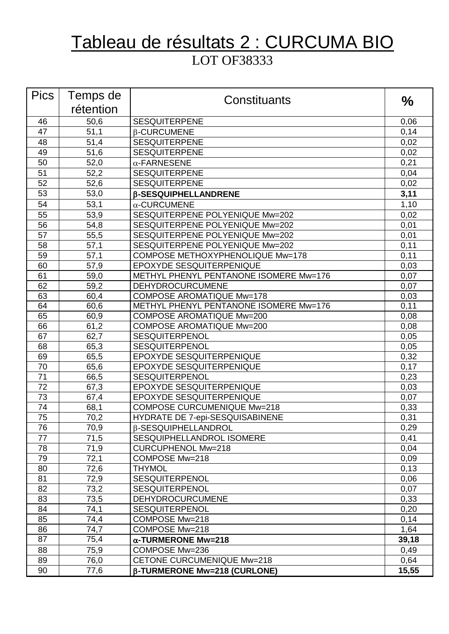## Tableau de résultats 2 : CURCUMA BIO LOT OF38333

| <b>Pics</b>     | Temps de  | Constituants                            | $\frac{0}{0}$ |
|-----------------|-----------|-----------------------------------------|---------------|
|                 | rétention |                                         |               |
| 46              | 50,6      | <b>SESQUITERPENE</b>                    | 0,06          |
| 47              | 51,1      | <b>B-CURCUMENE</b>                      | 0,14          |
| 48              | 51,4      | <b>SESQUITERPENE</b>                    | 0,02          |
| 49              | 51,6      | <b>SESQUITERPENE</b>                    | 0,02          |
| 50              | 52,0      | $\alpha$ -FARNESENE                     | 0,21          |
| 51              | 52,2      | <b>SESQUITERPENE</b>                    | 0,04          |
| 52              | 52,6      | <b>SESQUITERPENE</b>                    | 0,02          |
| 53              | 53,0      | <b>B-SESQUIPHELLANDRENE</b>             | 3,11          |
| 54              | 53,1      | $\alpha$ -CURCUMENE                     | 1,10          |
| 55              | 53,9      | SESQUITERPENE POLYENIQUE Mw=202         | 0,02          |
| 56              | 54,8      | SESQUITERPENE POLYENIQUE Mw=202         | 0,01          |
| 57              | 55,5      | SESQUITERPENE POLYENIQUE Mw=202         | 0,01          |
| 58              | 57,1      | SESQUITERPENE POLYENIQUE Mw=202         | 0,11          |
| 59              | 57,1      | <b>COMPOSE METHOXYPHENOLIQUE Mw=178</b> | 0,11          |
| 60              | 57,9      | EPOXYDE SESQUITERPENIQUE                | 0,03          |
| 61              | 59,0      | METHYL PHENYL PENTANONE ISOMERE Mw=176  | 0,07          |
| 62              | 59,2      | <b>DEHYDROCURCUMENE</b>                 | 0,07          |
| 63              | 60,4      | <b>COMPOSE AROMATIQUE Mw=178</b>        | 0,03          |
| 64              | 60,6      | METHYL PHENYL PENTANONE ISOMERE Mw=176  | 0,11          |
| 65              | 60,9      | <b>COMPOSE AROMATIQUE Mw=200</b>        | 0,08          |
| 66              | 61,2      | <b>COMPOSE AROMATIQUE Mw=200</b>        | 0,08          |
| 67              | 62,7      | <b>SESQUITERPENOL</b>                   | 0,05          |
| 68              | 65,3      | <b>SESQUITERPENOL</b>                   | 0,05          |
| 69              | 65,5      | EPOXYDE SESQUITERPENIQUE                | 0,32          |
| 70              | 65,6      | EPOXYDE SESQUITERPENIQUE                | 0,17          |
| $\overline{71}$ | 66,5      | SESQUITERPENOL                          | 0,23          |
| 72              | 67,3      | EPOXYDE SESQUITERPENIQUE                | 0,03          |
| 73              | 67,4      | EPOXYDE SESQUITERPENIQUE                | 0,07          |
| 74              | 68,1      | <b>COMPOSE CURCUMENIQUE Mw=218</b>      | 0,33          |
| $\overline{75}$ | 70,2      | HYDRATE DE 7-epi-SESQUISABINENE         | 0,31          |
| 76              | 70,9      | β-SESQUIPHELLANDROL                     | 0,29          |
| 77              | 71,5      | SESQUIPHELLANDROL ISOMERE               | 0,41          |
| 78              | 71,9      | <b>CURCUPHENOL Mw=218</b>               | 0,04          |
| 79              | 72,1      | COMPOSE Mw=218                          | 0,09          |
| 80              | 72,6      | <b>THYMOL</b>                           | 0,13          |
| 81              | 72,9      | SESQUITERPENOL                          | 0,06          |
| 82              | 73,2      | <b>SESQUITERPENOL</b>                   | 0,07          |
| 83              | 73,5      | <b>DEHYDROCURCUMENE</b>                 | 0,33          |
| 84              | 74,1      | <b>SESQUITERPENOL</b>                   | 0,20          |
| 85              | 74,4      | COMPOSE Mw=218                          | 0,14          |
| 86              | 74,7      | COMPOSE Mw=218                          | 1,64          |
| 87              | 75,4      | $\alpha$ -TURMERONE Mw=218              | 39,18         |
| 88              | 75,9      | COMPOSE Mw=236                          | 0,49          |
| 89              | 76,0      | CETONE CURCUMENIQUE Mw=218              | 0,64          |
| 90              | 77,6      | <b>β-TURMERONE Mw=218 (CURLONE)</b>     | 15,55         |